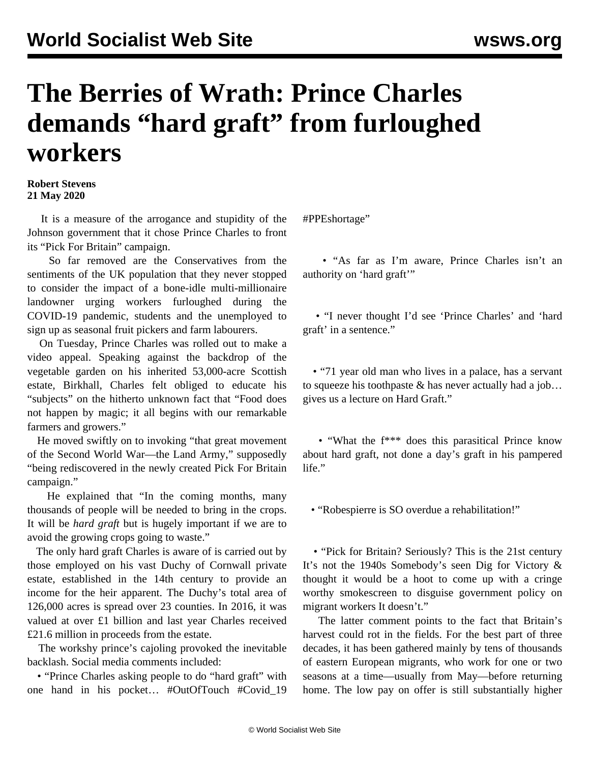## **The Berries of Wrath: Prince Charles demands "hard graft" from furloughed workers**

## **Robert Stevens 21 May 2020**

 It is a measure of the arrogance and stupidity of the Johnson government that it chose Prince Charles to front its "Pick For Britain" campaign.

 So far removed are the Conservatives from the sentiments of the UK population that they never stopped to consider the impact of a bone-idle multi-millionaire landowner urging workers furloughed during the COVID-19 pandemic, students and the unemployed to sign up as seasonal fruit pickers and farm labourers.

 On Tuesday, Prince Charles was rolled out to make a video appeal. Speaking against the backdrop of the vegetable garden on his inherited 53,000-acre Scottish estate, Birkhall, Charles felt obliged to educate his "subjects" on the hitherto unknown fact that "Food does not happen by magic; it all begins with our remarkable farmers and growers."

 He moved swiftly on to invoking "that great movement of the Second World War—the Land Army," supposedly "being rediscovered in the newly created Pick For Britain campaign."

 He explained that "In the coming months, many thousands of people will be needed to bring in the crops. It will be *hard graft* but is hugely important if we are to avoid the growing crops going to waste."

 The only hard graft Charles is aware of is carried out by those employed on his vast Duchy of Cornwall private estate, established in the 14th century to provide an income for the heir apparent. The Duchy's total area of 126,000 acres is spread over 23 counties. In 2016, it was valued at over £1 billion and last year Charles received £21.6 million in proceeds from the estate.

 The workshy prince's cajoling provoked the inevitable backlash. Social media comments included:

 • "Prince Charles asking people to do "hard graft" with one hand in his pocket… #OutOfTouch #Covid\_19

#PPEshortage"

 • "As far as I'm aware, Prince Charles isn't an authority on 'hard graft'"

 • "I never thought I'd see 'Prince Charles' and 'hard graft' in a sentence."

 • "71 year old man who lives in a palace, has a servant to squeeze his toothpaste & has never actually had a job… gives us a lecture on Hard Graft."

 • "What the f\*\*\* does this parasitical Prince know about hard graft, not done a day's graft in his pampered life."

• "Robespierre is SO overdue a rehabilitation!"

 • "Pick for Britain? Seriously? This is the 21st century It's not the 1940s Somebody's seen Dig for Victory & thought it would be a hoot to come up with a cringe worthy smokescreen to disguise government policy on migrant workers It doesn't."

 The latter comment points to the fact that Britain's harvest could rot in the fields. For the best part of three decades, it has been gathered mainly by tens of thousands of eastern European migrants, who work for one or two seasons at a time—usually from May—before returning home. The low pay on offer is still substantially higher